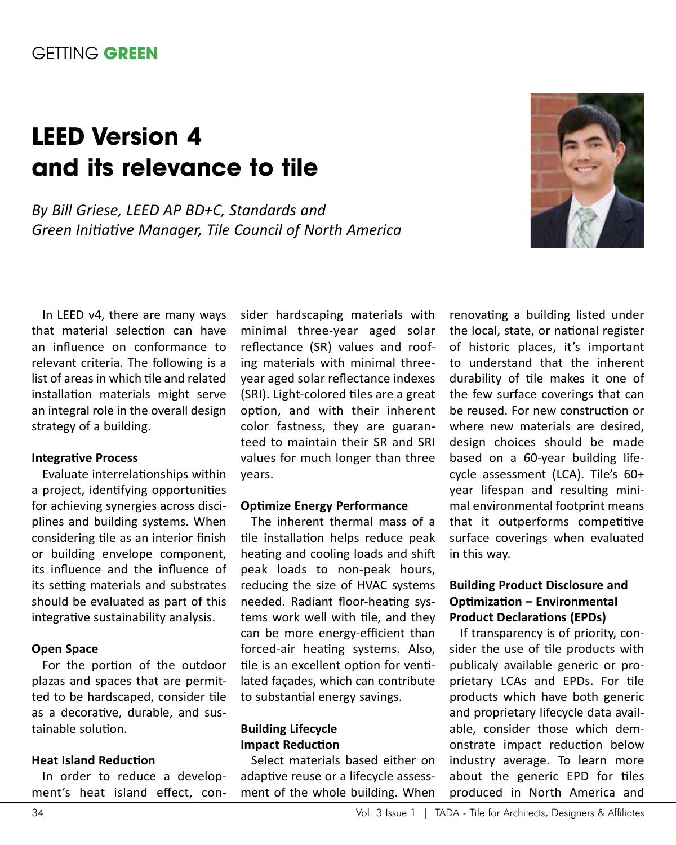# GETTING **GREEN**

# **LEED Version 4 and its relevance to tile**

*By Bill Griese, LEED AP BD+C, Standards and Green Initiative Manager, Tile Council of North America*



In LEED v4, there are many ways that material selection can have an influence on conformance to relevant criteria. The following is a list of areas in which tile and related installation materials might serve an integral role in the overall design strategy of a building.

#### **Integrative Process**

Evaluate interrelationships within a project, identifying opportunities for achieving synergies across disciplines and building systems. When considering tile as an interior finish or building envelope component, its influence and the influence of its setting materials and substrates should be evaluated as part of this integrative sustainability analysis.

#### **Open Space**

For the portion of the outdoor plazas and spaces that are permitted to be hardscaped, consider tile as a decorative, durable, and sustainable solution.

#### **Heat Island Reduction**

In order to reduce a development's heat island effect, con-

sider hardscaping materials with minimal three-year aged solar reflectance (SR) values and roofing materials with minimal threeyear aged solar reflectance indexes (SRI). Light-colored tiles are a great option, and with their inherent color fastness, they are guaranteed to maintain their SR and SRI values for much longer than three years.

#### **Optimize Energy Performance**

The inherent thermal mass of a tile installation helps reduce peak heating and cooling loads and shift peak loads to non-peak hours, reducing the size of HVAC systems needed. Radiant floor-heating systems work well with tile, and they can be more energy-efficient than forced-air heating systems. Also, tile is an excellent option for ventilated façades, which can contribute to substantial energy savings.

#### **Building Lifecycle Impact Reduction**

Select materials based either on adaptive reuse or a lifecycle assessment of the whole building. When

renovating a building listed under the local, state, or national register of historic places, it's important to understand that the inherent durability of tile makes it one of the few surface coverings that can be reused. For new construction or where new materials are desired, design choices should be made based on a 60-year building lifecycle assessment (LCA). Tile's 60+ year lifespan and resulting minimal environmental footprint means that it outperforms competitive surface coverings when evaluated in this way.

#### **Building Product Disclosure and Optimization – Environmental Product Declarations (EPDs)**

If transparency is of priority, consider the use of tile products with publicaly available generic or proprietary LCAs and EPDs. For tile products which have both generic and proprietary lifecycle data available, consider those which demonstrate impact reduction below industry average. To learn more about the generic EPD for tiles produced in North America and